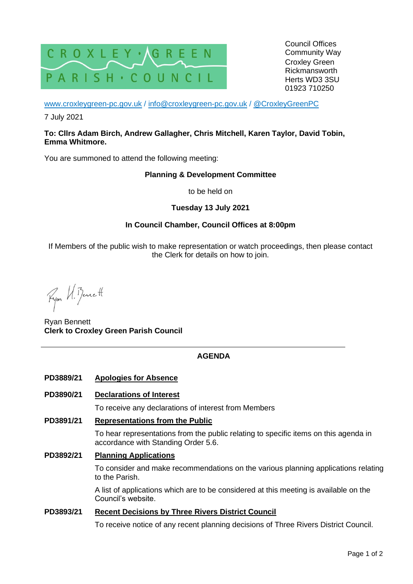

[www.croxleygreen-pc.gov.uk](http://www.croxleygreen-pc.gov.uk/) / [info@croxleygreen-pc.gov.uk](mailto:info@croxleygreen-pc.gov.uk) / [@CroxleyGreenPC](https://twitter.com/CroxleyGreenPC)

7 July 2021

#### **To: Cllrs Adam Birch, Andrew Gallagher, Chris Mitchell, Karen Taylor, David Tobin, Emma Whitmore.**

You are summoned to attend the following meeting:

### **Planning & Development Committee**

to be held on

## **Tuesday 13 July 2021**

## **In Council Chamber, Council Offices at 8:00pm**

If Members of the public wish to make representation or watch proceedings, then please contact the Clerk for details on how to join.

Ryon U. Benett

Ryan Bennett **Clerk to Croxley Green Parish Council**

## **AGENDA**

- **PD3889/21 Apologies for Absence**
- **PD3890/21 Declarations of Interest**

To receive any declarations of interest from Members

### **PD3891/21 Representations from the Public**

To hear representations from the public relating to specific items on this agenda in accordance with Standing Order 5.6.

### **PD3892/21 Planning Applications**

To consider and make recommendations on the various planning applications relating to the Parish.

A list of applications which are to be considered at this meeting is available on the Council's website.

### **PD3893/21 Recent Decisions by Three Rivers District Council**

To receive notice of any recent planning decisions of Three Rivers District Council.